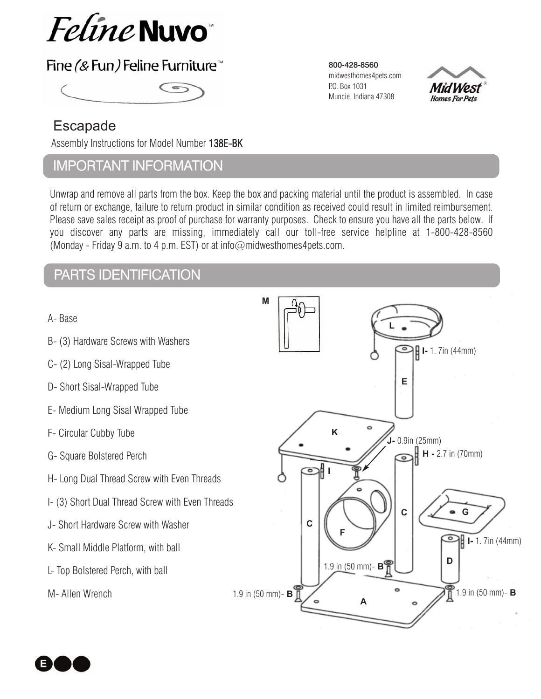

# Fine (& Fun) Feline Furniture<sup>™</sup>

## Escapade

Assembly Instructions for Model Number 138E-BK

## ImPortant InformatIon

Unwrap and remove all parts from the box. Keep the box and packing material until the product is assembled. In case of return or exchange, failure to return product in similar condition as received could result in limited reimbursement. Please save sales receipt as proof of purchase for warranty purposes. Check to ensure you have all the parts below. If you discover any parts are missing, immediately call our toll-free service helpline at 1-800-428-8560 (Monday - Friday 9 a.m. to 4 p.m. EST) or at info $\omega$ midwesthomes4pets.com.

# Parts IdentIfIcatIon

- A- Base
- B- (3) Hardware Screws with Washers
- C- (2) Long Sisal-Wrapped Tube
- D- Short Sisal-Wrapped Tube
- E- Medium Long Sisal Wrapped Tube
- F- Circular Cubby Tube
- G- Square Bolstered Perch
- H- Long Dual Thread Screw with Even Threads
- I- (3) Short Dual Thread Screw with Even Threads
- J- Short Hardware Screw with Washer
- K- Small Middle Platform, with ball
- L- Top Bolstered Perch, with ball

M- Allen Wrench

# **ML I-** 1. 7in (44mm) **E K J-** 0.9in (25mm) **H -** 2.7 in (70mm) ๑  $\overline{\bullet}$ **I**  $\circ$ **C G C F I-** 1. 7in (44mm) **D** 1.9 in (50 mm)- **B** 1.9 in (50 mm)- **B** 1.9 in (50 mm)- **B A**

Mid West **Homes For Pets** 

800-428-8560 midwesthomes4pets.com

P.O. Box 1031 Muncie, Indiana 47308

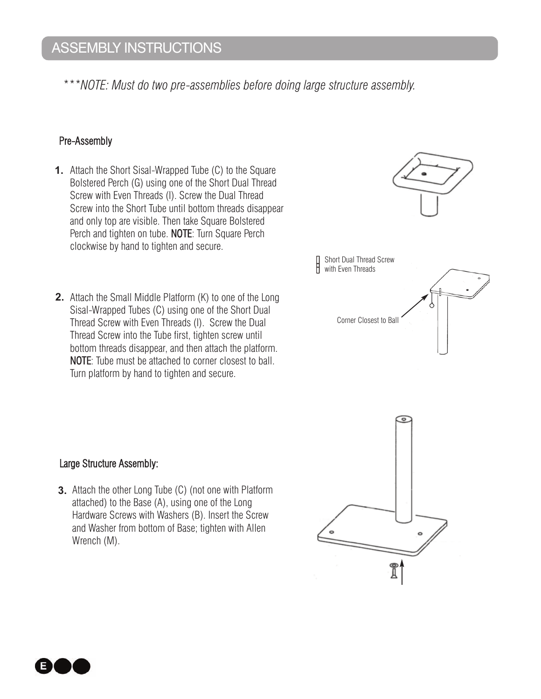*\*\*\*NOTE: Must do two pre-assemblies before doing large structure assembly.* 

## Pre-Assembly

- **1.** Attach the Short Sisal-Wrapped Tube (C) to the Square Bolstered Perch (G) using one of the Short Dual Thread Screw with Even Threads (I). Screw the Dual Thread Screw into the Short Tube until bottom threads disappear and only top are visible. Then take Square Bolstered Perch and tighten on tube. NOTE: Turn Square Perch clockwise by hand to tighten and secure.
- **2.** Attach the Small Middle Platform (K) to one of the Long Sisal-Wrapped Tubes (C) using one of the Short Dual Thread Screw with Even Threads (I). Screw the Dual Thread Screw into the Tube first, tighten screw until bottom threads disappear, and then attach the platform. NOTE: Tube must be attached to corner closest to ball. Turn platform by hand to tighten and secure.



## Large Structure Assembly:

**3.** Attach the other Long Tube (C) (not one with Platform attached) to the Base (A), using one of the Long Hardware Screws with Washers (B). Insert the Screw and Washer from bottom of Base; tighten with Allen Wrench (M).



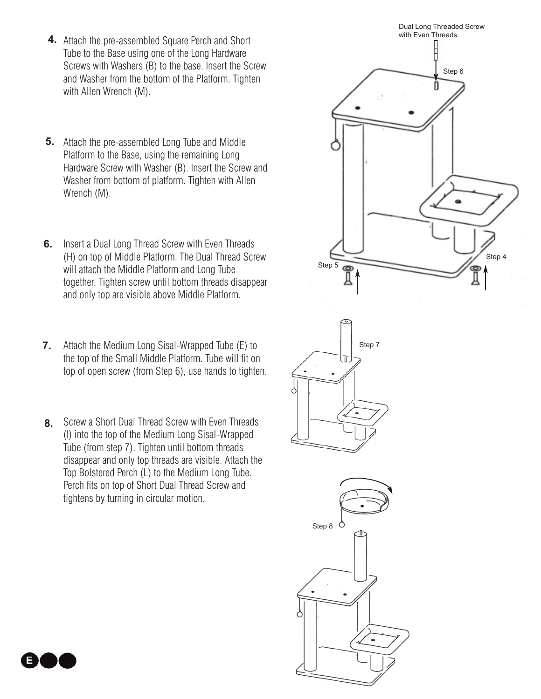- **4.** Attach the pre-assembled Square Perch and Short Tube to the Base using one of the Long Hardware Screws with Washers (B) to the base. Insert the Screw and Washer from the bottom of the Platform. Tighten with Allen Wrench (M).
- **5.** Attach the pre-assembled Long Tube and Middle Platform to the Base, using the remaining Long Hardware Screw with Washer (B). Insert the Screw and Washer from bottom of platform. Tighten with Allen Wrench (M).
- **6.** Insert a Dual Long Thread Screw with Even Threads (H) on top of Middle Platform. The Dual Thread Screw will attach the Middle Platform and Long Tube together. Tighten screw until bottom threads disappear and only top are visible above Middle Platform.
- Attach the Medium Long Sisal-Wrapped Tube (E) to the top of the Small Middle Platform. Tube will fit on top of open screw (from Step 6), use hands to tighten. **7.**
- Screw a Short Dual Thread Screw with Even Threads **8.** (I) into the top of the Medium Long Sisal-Wrapped Tube (from step 7). Tighten until bottom threads disappear and only top threads are visible. Attach the Top Bolstered Perch (L) to the Medium Long Tube. Perch fits on top of Short Dual Thread Screw and tightens by turning in circular motion.



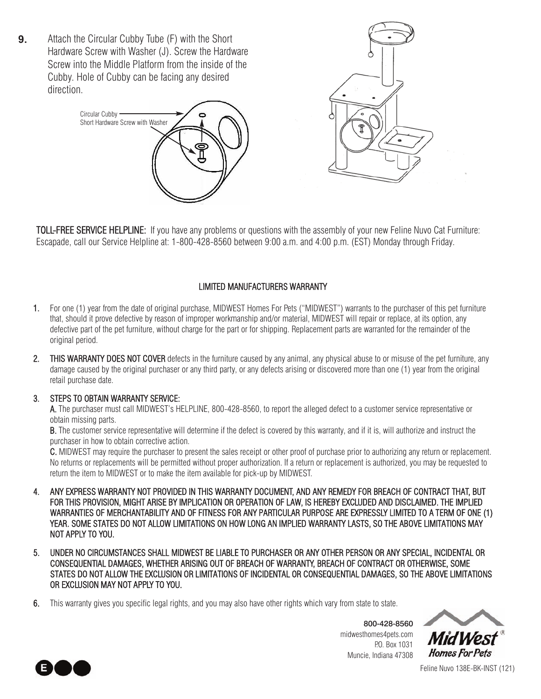Attach the Circular Cubby Tube (F) with the Short Hardware Screw with Washer (J). Screw the Hardware Screw into the Middle Platform from the inside of the Cubby. Hole of Cubby can be facing any desired direction. **9.**





TOLL-FREE SERVICE HELPLINE: If you have any problems or questions with the assembly of your new Feline Nuvo Cat Furniture: Escapade, call our Service Helpline at: 1-800-428-8560 between 9:00 a.m. and 4:00 p.m. (EST) Monday through Friday.

## LIMITED MANUFACTURERS WARRANTY

- 1. For one (1) year from the date of original purchase, MIDWEST Homes For Pets ("MIDWEST") warrants to the purchaser of this pet furniture that, should it prove defective by reason of improper workmanship and/or material, MIDWEST will repair or replace, at its option, any defective part of the pet furniture, without charge for the part or for shipping. Replacement parts are warranted for the remainder of the original period.
- 2. THIS WARRANTY DOES NOT COVER defects in the furniture caused by any animal, any physical abuse to or misuse of the pet furniture, any damage caused by the original purchaser or any third party, or any defects arising or discovered more than one (1) year from the original retail purchase date.

#### 3. STEPS TO OBTAIN WARRANTY SERVICE:

A. The purchaser must call MIDWEST's HELPLINE, 800-428-8560, to report the alleged defect to a customer service representative or obtain missing parts.

B. The customer service representative will determine if the defect is covered by this warranty, and if it is, will authorize and instruct the purchaser in how to obtain corrective action.

C. MIDWEST may require the purchaser to present the sales receipt or other proof of purchase prior to authorizing any return or replacement. No returns or replacements will be permitted without proper authorization. If a return or replacement is authorized, you may be requested to return the item to MIDWEST or to make the item available for pick-up by MIDWEST.

- 4. ANY EXPRESS WARRANTY NOT PROVIDED IN THIS WARRANTY DOCUMENT, AND ANY REMEDY FOR BREACH OF CONTRACT THAT, BUT FOR THIS PROVISION, MIGHT ARISE BY IMPLICATION OR OPERATION OF LAW, IS HEREBY EXCLUDED AND DISCLAIMED. THE IMPLIED WARRANTIES OF MERCHANTABILITY AND OF FITNESS FOR ANY PARTICULAR PURPOSE ARE EXPRESSLY LIMITED TO A TERM OF ONE (1) YEAR. SOME STATES DO NOT ALLOW LIMITATIONS ON HOW LONG AN IMPLIED WARRANTY LASTS, SO THE ABOVE LIMITATIONS MAY NOT APPLY TO YOU.
- 5. UNDER NO CIRCUMSTANCES SHALL MIDWEST BE LIABLE TO PURCHASER OR ANY OTHER PERSON OR ANY SPECIAL, INCIDENTAL OR CONSEQUENTIAL DAMAGES, WHETHER ARISING OUT OF BREACH OF WARRANTY, BREACH OF CONTRACT OR OTHERWISE, SOME STATES DO NOT ALLOW THE EXCLUSION OR LIMITATIONS OF INCIDENTAL OR CONSEQUENTIAL DAMAGES, SO THE ABOVE LIMITATIONS OR EXCLUSION MAY NOT APPLY TO YOU.
- 6. This warranty gives you specific legal rights, and you may also have other rights which vary from state to state.

800-428-8560 midwesthomes4pets.com P.O. Box 1031 Muncie, Indiana 47308





Feline Nuvo 138E-BK-INST (121)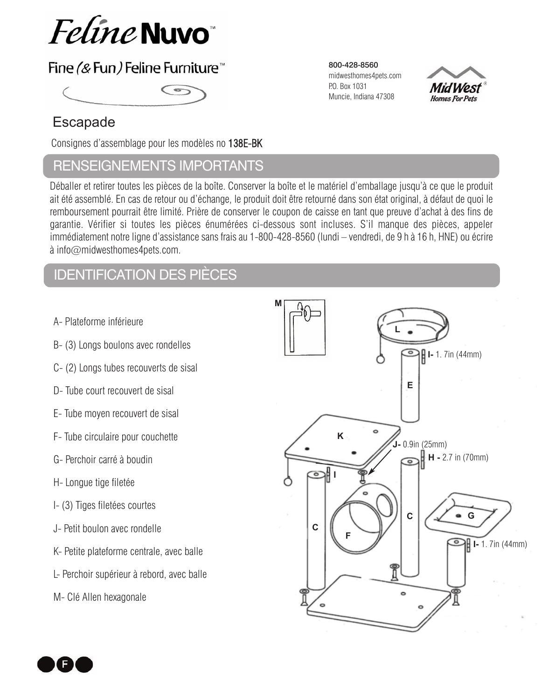

# Fine (& Fun) Feline Furniture™



# Escapade

Consignes d'assemblage pour les modèles no 138E-BK

## RENSEIGNEMENTS IMPORTANTS

Déballer et retirer toutes les pièces de la boîte. Conserver la boîte et le matériel d'emballage jusqu'à ce que le produit ait été assemblé. En cas de retour ou d'échange, le produit doit être retourné dans son état original, à défaut de quoi le remboursement pourrait être limité. Prière de conserver le coupon de caisse en tant que preuve d'achat à des fins de garantie. Vérifier si toutes les pièces énumérées ci-dessous sont incluses. S'il manque des pièces, appeler immédiatement notre ligne d'assistance sans frais au 1-800-428-8560 (lundi – vendredi, de 9 h à 16 h, HNE) ou écrire à info@midwesthomes4pets.com.

# IdentIfIcatIon des pIèces

- A- Plateforme inférieure
- B- (3) Longs boulons avec rondelles
- C- (2) Longs tubes recouverts de sisal
- D- Tube court recouvert de sisal
- E- Tube moyen recouvert de sisal
- F- Tube circulaire pour couchette
- G- Perchoir carré à boudin
- H- Longue tige filetée
- I- (3) Tiges filetées courtes
- J- Petit boulon avec rondelle
- K- Petite plateforme centrale, avec balle
- L- Perchoir supérieur à rebord, avec balle
- M- Clé Allen hexagonale



800-428-8560 midwesthomes4pets.com P.O. Box 1031 Muncie, Indiana 47308

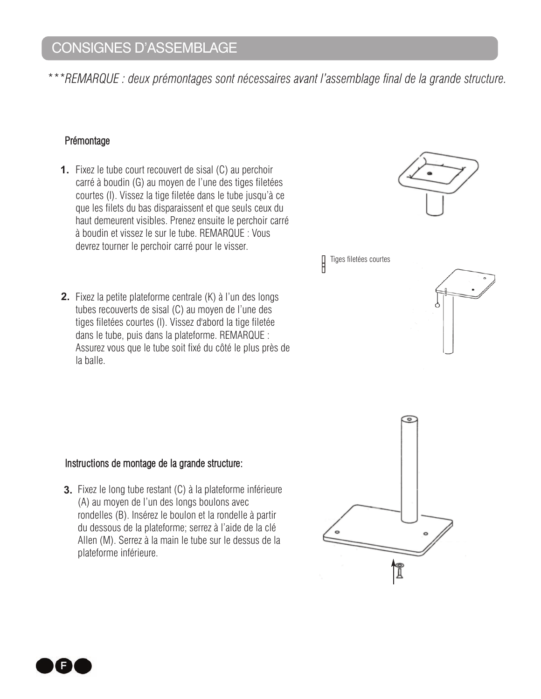*\*\*\*REMARQUE : deux prémontages sont nécessaires avant l'assemblage final de la grande structure.*

## Prémontage

- **1.** Fixez le tube court recouvert de sisal (C) au perchoir carré à boudin (G) au moyen de l'une des tiges filetées courtes (I). Vissez la tige filetée dans le tube jusqu'à ce que les filets du bas disparaissent et que seuls ceux du haut demeurent visibles. Prenez ensuite le perchoir carré à boudin et vissez le sur le tube. REMARQUE : Vous devrez tourner le perchoir carré pour le visser.
- **2.** Fixez la petite plateforme centrale (K) à l'un des longs tubes recouverts de sisal (C) au moyen de l'une des tiges filetées courtes (I). Vissez d'abord la tige filetée dans le tube, puis dans la plateforme. REMARQUE : Assurez vous que le tube soit fixé du côté le plus près de la balle.



Tiges filetées courtes



## Instructions de montage de la grande structure:

**3.** Fixez le long tube restant (C) à la plateforme inférieure (A) au moyen de l'un des longs boulons avec rondelles (B). Insérez le boulon et la rondelle à partir du dessous de la plateforme; serrez à l'aide de la clé Allen (M). Serrez à la main le tube sur le dessus de la plateforme inférieure.



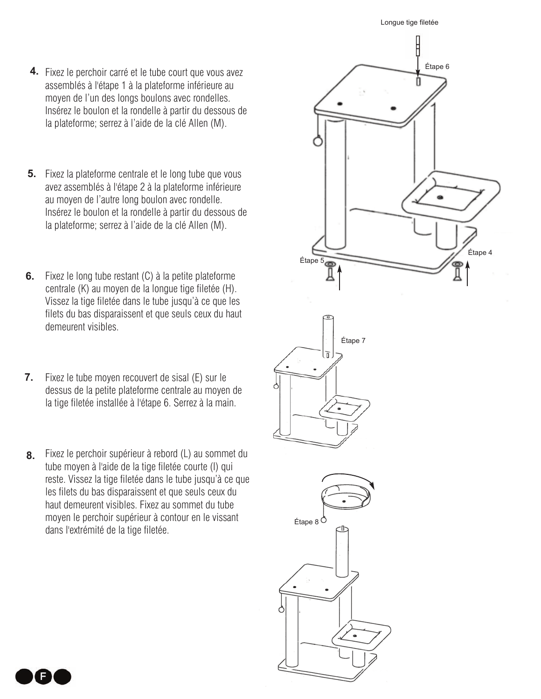- **4.** Fixez le perchoir carré et le tube court que vous avez assemblés à l'étape 1 à la plateforme inférieure au moyen de l'un des longs boulons avec rondelles. Insérez le boulon et la rondelle à partir du dessous de la plateforme; serrez à l'aide de la clé Allen (M).
- **5.** Fixez la plateforme centrale et le long tube que vous avez assemblés à l'étape 2 à la plateforme inférieure au moyen de l'autre long boulon avec rondelle. Insérez le boulon et la rondelle à partir du dessous de la plateforme; serrez à l'aide de la clé Allen (M).
- **6.** Fixez le long tube restant (C) à la petite plateforme centrale (K) au moyen de la longue tige filetée (H). Vissez la tige filetée dans le tube jusqu'à ce que les filets du bas disparaissent et que seuls ceux du haut demeurent visibles.
- Fixez le tube moyen recouvert de sisal (E) sur le dessus de la petite plateforme centrale au moyen de la tige filetée installée à l'étape 6. Serrez à la main. **7.**
- Fixez le perchoir supérieur à rebord (L) au sommet du tube moyen à l'aide de la tige filetée courte (I) qui reste. Vissez la tige filetée dans le tube jusqu'à ce que les filets du bas disparaissent et que seuls ceux du haut demeurent visibles. Fixez au sommet du tube moyen le perchoir supérieur à contour en le vissant dans l'extrémité de la tige filetée. **8.**

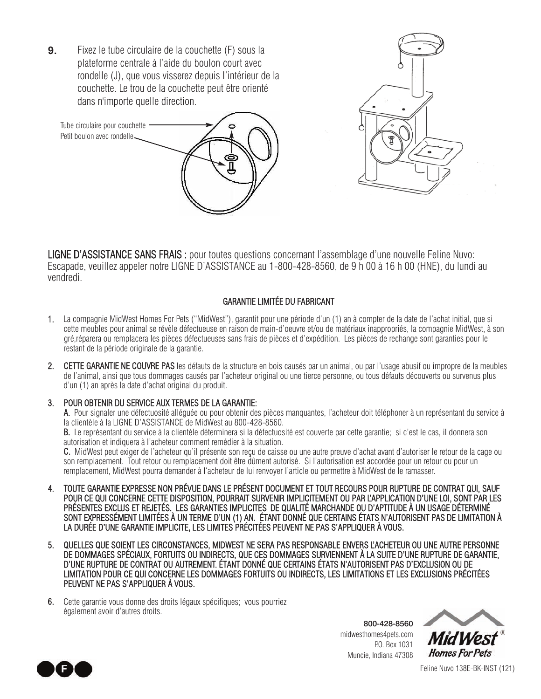Fixez le tube circulaire de la couchette (F) sous la plateforme centrale à l'aide du boulon court avec rondelle (J), que vous visserez depuis l'intérieur de la couchette. Le trou de la couchette peut être orienté dans n'importe quelle direction. **9.**

Tube circulaire pour couchette Petit boulon avec rondelle

LIGNE D'ASSISTANCE SANS FRAIS : pour toutes questions concernant l'assemblage d'une nouvelle Feline Nuvo: Escapade, veuillez appeler notre LIGNE D'ASSISTANCE au 1-800-428-8560, de 9 h 00 à 16 h 00 (HNE), du lundi au vendredi.

## GARANTIE LIMITÉE DU FABRICANT

- 1. La compagnie MidWest Homes For Pets ("MidWest"), garantit pour une période d'un (1) an à compter de la date de l'achat initial, que si cette meubles pour animal se révèle défectueuse en raison de main-d'oeuvre et/ou de matériaux inappropriés, la compagnie MidWest, à son gré,réparera ou remplacera les pièces défectueuses sans frais de pièces et d'expédition. Les pièces de rechange sont garanties pour le restant de la période originale de la garantie.
- 2. CETTE GARANTIE NE COUVRE PAS les défauts de la structure en bois causés par un animal, ou par l'usage abusif ou impropre de la meubles de l'animal, ainsi que tous dommages causés par l'acheteur original ou une tierce personne, ou tous défauts découverts ou survenus plus d'un (1) an après la date d'achat original du produit.

#### 3. POUR OBTENIR DU SERVICE AUX TERMES DE LA GARANTIE:

A. Pour signaler une défectuosité alléguée ou pour obtenir des pièces manquantes, l'acheteur doit téléphoner à un représentant du service à la clientèle à la LIGNE D'ASSISTANCE de MidWest au 800-428-8560.

B. Le représentant du service à la clientèle déterminera si la défectuosité est couverte par cette garantie; si c'est le cas, il donnera son autorisation et indiquera à l'acheteur comment remédier à la situation.

C. MidWest peut exiger de l'acheteur qu'il présente son reçu de caisse ou une autre preuve d'achat avant d'autoriser le retour de la cage ou son remplacement. Tout retour ou remplacement doit être dûment autorisé. Si l'autorisation est accordée pour un retour ou pour un remplacement, MidWest pourra demander à l'acheteur de lui renvoyer l'article ou permettre à MidWest de le ramasser.

- 4. TOUTE GARANTIE EXPRESSE NON PRÉVUE DANS LE PRÉSENT DOCUMENT ET TOUT RECOURS POUR RUPTURE DE CONTRAT QUI, SAUF POUR CE QUI CONCERNE CETTE DISPOSITION, POURRAIT SURVENIR IMPLICITEMENT OU PAR L'APPLICATION D'UNE LOI, SONT PAR LES PRÉSENTES EXCLUS ET REJETÉS. LES GARANTIES IMPLICITES DE QUALITÉ MARCHANDE OU D'APTITUDE À UN USAGE DÉTERMINÉ SONT EXPRESSÉMENT LIMITÉES À UN TERME D'UN (1) AN. ÉTANT DONNÉ QUE CERTAINS ÉTATS N'AUTORISENT PAS DE LIMITATION À LA DURÉE D'UNE GARANTIE IMPLICITE, LES LIMITES PRÉCITÉES PEUVENT NE PAS S'APPLIQUER À VOUS.
- 5. QUELLES QUE SOIENT LES CIRCONSTANCES, MIDWEST NE SERA PAS RESPONSABLE ENVERS L'ACHETEUR OU UNE AUTRE PERSONNE DE DOMMAGES SPÉCIAUX, FORTUITS OU INDIRECTS, QUE CES DOMMAGES SURVIENNENT À LA SUITE D'UNE RUPTURE DE GARANTIE, D'UNE RUPTURE DE CONTRAT OU AUTREMENT. ÉTANT DONNÉ QUE CERTAINS ÉTATS N'AUTORISENT PAS D'EXCLUSION OU DE LIMITATION POUR CE QUI CONCERNE LES DOMMAGES FORTUITS OU INDIRECTS, LES LIMITATIONS ET LES EXCLUSIONS PRÉCITÉES PEUVENT NE PAS S'APPLIQUER À VOUS.
- 6. Cette garantie vous donne des droits légaux spécifiques; vous pourriez également avoir d'autres droits.

800-428-8560 midwesthomes4pets.com P.O. Box 1031 Muncie, Indiana 47308





Feline Nuvo 138E-BK-INST (121)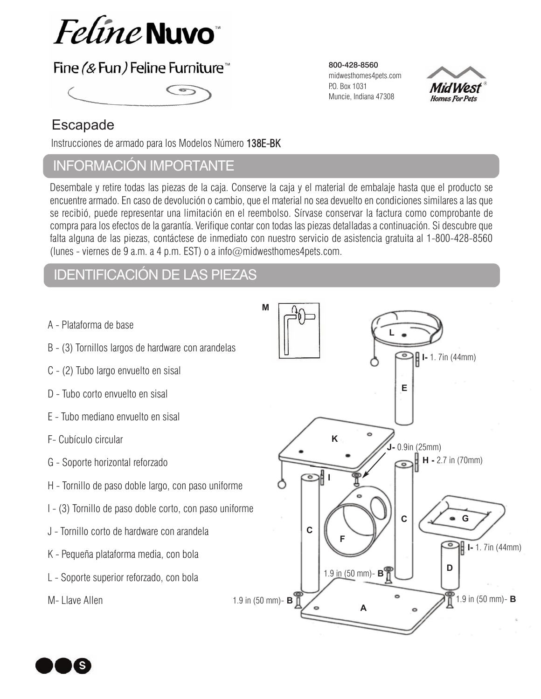

# Fine (& Fun) Feline Furniture<sup>™</sup>



## Escapade

Instrucciones de armado para los Modelos Número 138E-BK

## InformacIón Importante

Desembale y retire todas las piezas de la caja. Conserve la caja y el material de embalaje hasta que el producto se encuentre armado. En caso de devolución o cambio, que el material no sea devuelto en condiciones similares a las que se recibió, puede representar una limitación en el reembolso. Sírvase conservar la factura como comprobante de compra para los efectos de la garantía. Verifique contar con todas las piezas detalladas a continuación. Si descubre que falta alguna de las piezas, contáctese de inmediato con nuestro servicio de asistencia gratuita al 1-800-428-8560 (lunes - viernes de 9 a.m. a 4 p.m. EST) o a info $@$ midwesthomes4pets.com.

# IdentIfIcacIón de las pIezas

- A Plataforma de base
- B (3) Tornillos largos de hardware con arandelas
- C (2) Tubo largo envuelto en sisal
- D Tubo corto envuelto en sisal
- E Tubo mediano envuelto en sisal
- F- Cubículo circular
- G Soporte horizontal reforzado
- H Tornillo de paso doble largo, con paso uniforme
- I (3) Tornillo de paso doble corto, con paso uniforme
- J Tornillo corto de hardware con arandela
- K Pequeña plataforma media, con bola
- L Soporte superior reforzado, con bola

M- Llave Allen



800-428-8560 midwesthomes4pets.com P.O. Box 1031 Muncie, Indiana 47308

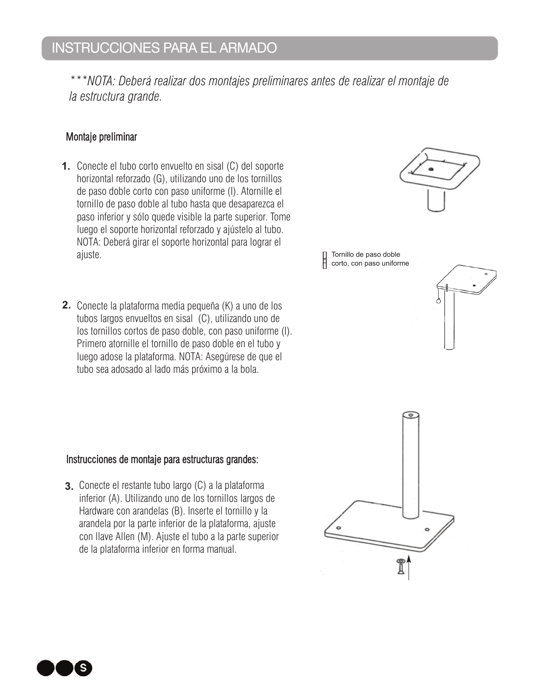*\*\*\*NOTA: Deberá realizar dos montajes preliminares antes de realizar el montaje de la estructura grande.* 

## Montaje preliminar

- **1.** Conecte el tubo corto envuelto en sisal (C) del soporte horizontal reforzado (G), utilizando uno de los tornillos de paso doble corto con paso uniforme (I). Atornille el tornillo de paso doble al tubo hasta que desaparezca el paso inferior y sólo quede visible la parte superior. Tome luego el soporte horizontal reforzado y ajústelo al tubo. NOTA: Deberá girar el soporte horizontal para lograr el ajuste.
- **2.** Conecte la plataforma media pequeña (K) a uno de los tubos largos envueltos en sisal (C), utilizando uno de los tornillos cortos de paso doble, con paso uniforme (I). Primero atornille el tornillo de paso doble en el tubo y luego adose la plataforma. NOTA: Asegúrese de que el tubo sea adosado al lado más próximo a la bola.

## Instrucciones de montaje para estructuras grandes:

**3.** Conecte el restante tubo largo (C) a la plataforma inferior (A). Utilizando uno de los tornillos largos de Hardware con arandelas (B). Inserte el tornillo y la arandela por la parte inferior de la plataforma, ajuste con llave Allen (M). Ajuste el tubo a la parte superior de la plataforma inferior en forma manual.





Tornillo de paso doble

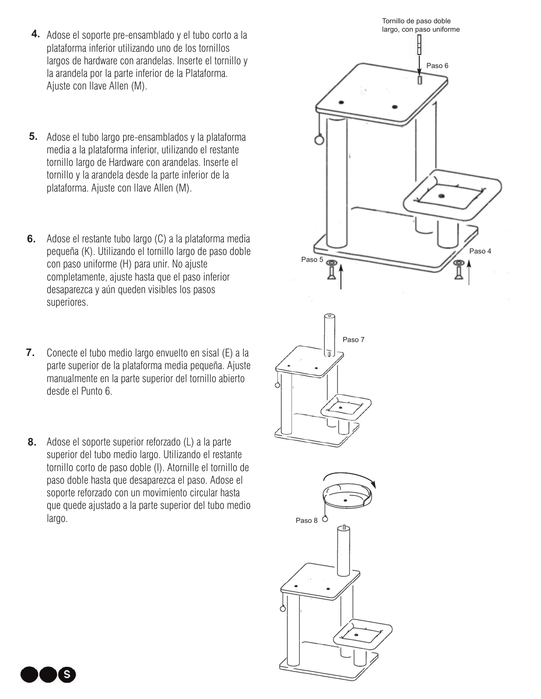- **4.** Adose el soporte pre-ensamblado y el tubo corto a la plataforma inferior utilizando uno de los tornillos largos de hardware con arandelas. Inserte el tornillo y la arandela por la parte inferior de la Plataforma. Ajuste con llave Allen (M).
- Adose el tubo largo pre-ensamblados y la plataforma **5.** media a la plataforma inferior, utilizando el restante tornillo largo de Hardware con arandelas. Inserte el tornillo y la arandela desde la parte inferior de la plataforma. Ajuste con llave Allen (M).
- **6.** Adose el restante tubo largo (C) a la plataforma media pequeña (K). Utilizando el tornillo largo de paso doble con paso uniforme (H) para unir. No ajuste completamente, ajuste hasta que el paso inferior desaparezca y aún queden visibles los pasos superiores.
- Conecte el tubo medio largo envuelto en sisal (E) a la parte superior de la plataforma media pequeña. Ajuste manualmente en la parte superior del tornillo abierto desde el Punto 6. **7.**
- Adose el soporte superior reforzado (L) a la parte **8.** superior del tubo medio largo. Utilizando el restante tornillo corto de paso doble (I). Atornille el tornillo de paso doble hasta que desaparezca el paso. Adose el soporte reforzado con un movimiento circular hasta que quede ajustado a la parte superior del tubo medio largo.